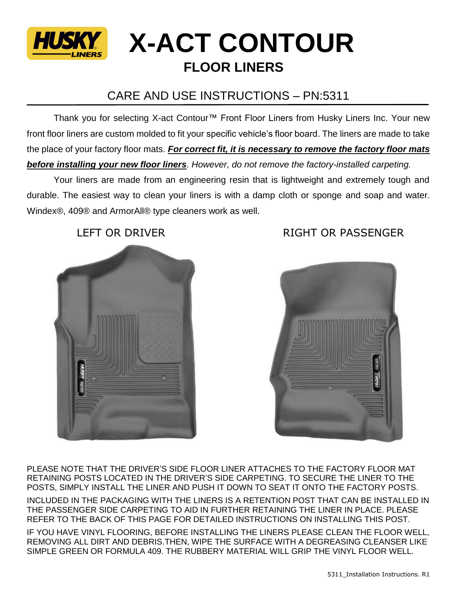

## **X-ACT CONTOUR FLOOR LINERS**

## CARE AND USE INSTRUCTIONS – PN:5311

Thank you for selecting X-act Contour™ Front Floor Liners from Husky Liners Inc. Your new front floor liners are custom molded to fit your specific vehicle's floor board. The liners are made to take the place of your factory floor mats. *For correct fit, it is necessary to remove the factory floor mats before installing your new floor liners*. *However, do not remove the factory-installed carpeting.*

Your liners are made from an engineering resin that is lightweight and extremely tough and durable. The easiest way to clean your liners is with a damp cloth or sponge and soap and water. Windex®, 409® and ArmorAll® type cleaners work as well.





PLEASE NOTE THAT THE DRIVER'S SIDE FLOOR LINER ATTACHES TO THE FACTORY FLOOR MAT RETAINING POSTS LOCATED IN THE DRIVER'S SIDE CARPETING. TO SECURE THE LINER TO THE POSTS, SIMPLY INSTALL THE LINER AND PUSH IT DOWN TO SEAT IT ONTO THE FACTORY POSTS.

INCLUDED IN THE PACKAGING WITH THE LINERS IS A RETENTION POST THAT CAN BE INSTALLED IN THE PASSENGER SIDE CARPETING TO AID IN FURTHER RETAINING THE LINER IN PLACE. PLEASE REFER TO THE BACK OF THIS PAGE FOR DETAILED INSTRUCTIONS ON INSTALLING THIS POST.

IF YOU HAVE VINYL FLOORING, BEFORE INSTALLING THE LINERS PLEASE CLEAN THE FLOOR WELL, REMOVING ALL DIRT AND DEBRIS.THEN, WIPE THE SURFACE WITH A DEGREASING CLEANSER LIKE SIMPLE GREEN OR FORMULA 409. THE RUBBERY MATERIAL WILL GRIP THE VINYL FLOOR WELL.